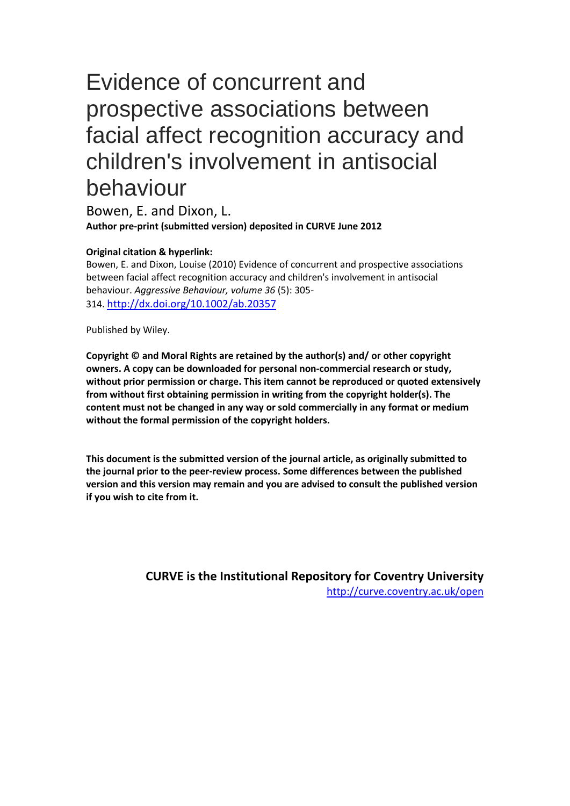# Evidence of concurrent and prospective associations between facial affect recognition accuracy and children's involvement in antisocial behaviour

Bowen, E. and Dixon, L. **Author pre-print (submitted version) deposited in CURVE June 2012**

#### **Original citation & hyperlink:**

Bowen, E. and Dixon, Louise (2010) Evidence of concurrent and prospective associations between facial affect recognition accuracy and children's involvement in antisocial behaviour. *Aggressive Behaviour, volume 36* (5): 305- 314. http://dx.doi.org/10.1002/ab.20357

Published by Wiley.

**Copyright © and Moral Rights are retained by the author(s) and/ or other copyright owners. A copy can be downloaded for personal non-commercial research or study, without prior permission or charge. This item cannot be reproduced or quoted extensively from without first obtaining permission in writing from the copyright holder(s). The content must not be changed in any way or sold commercially in any format or medium without the formal permission of the copyright holders.** 

**This document is the submitted version of the journal article, as originally submitted to the journal prior to the peer-review process. Some differences between the published version and this version may remain and you are advised to consult the published version if you wish to cite from it.**

> **CURVE is the Institutional Repository for Coventry University** http://curve.coventry.ac.uk/open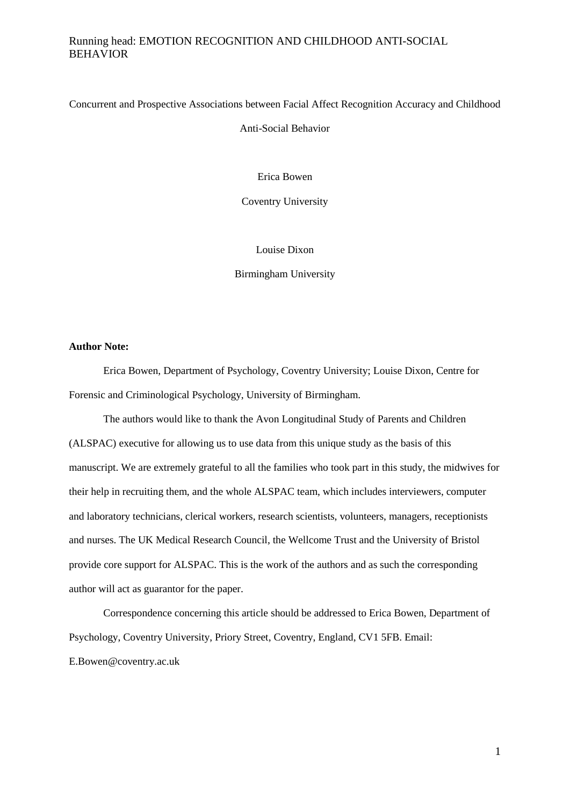Concurrent and Prospective Associations between Facial Affect Recognition Accuracy and Childhood

Anti-Social Behavior

Erica Bowen

Coventry University

Louise Dixon

Birmingham University

#### **Author Note:**

Erica Bowen, Department of Psychology, Coventry University; Louise Dixon, Centre for Forensic and Criminological Psychology, University of Birmingham.

The authors would like to thank the Avon Longitudinal Study of Parents and Children (ALSPAC) executive for allowing us to use data from this unique study as the basis of this manuscript. We are extremely grateful to all the families who took part in this study, the midwives for their help in recruiting them, and the whole ALSPAC team, which includes interviewers, computer and laboratory technicians, clerical workers, research scientists, volunteers, managers, receptionists and nurses. The UK Medical Research Council, the Wellcome Trust and the University of Bristol provide core support for ALSPAC. This is the work of the authors and as such the corresponding author will act as guarantor for the paper.

Correspondence concerning this article should be addressed to Erica Bowen, Department of Psychology, Coventry University, Priory Street, Coventry, England, CV1 5FB. Email: E.Bowen@coventry.ac.uk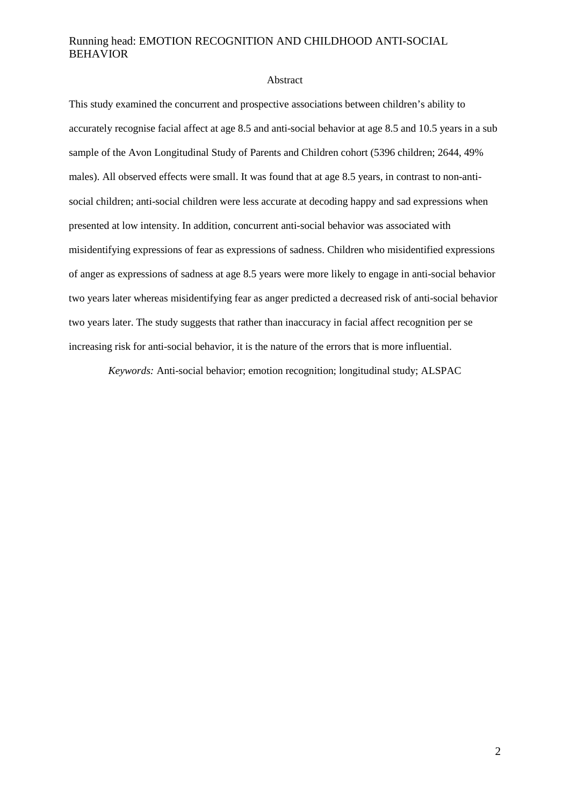#### Abstract

This study examined the concurrent and prospective associations between children's ability to accurately recognise facial affect at age 8.5 and anti-social behavior at age 8.5 and 10.5 years in a sub sample of the Avon Longitudinal Study of Parents and Children cohort (5396 children; 2644, 49% males). All observed effects were small. It was found that at age 8.5 years, in contrast to non-antisocial children; anti-social children were less accurate at decoding happy and sad expressions when presented at low intensity. In addition, concurrent anti-social behavior was associated with misidentifying expressions of fear as expressions of sadness. Children who misidentified expressions of anger as expressions of sadness at age 8.5 years were more likely to engage in anti-social behavior two years later whereas misidentifying fear as anger predicted a decreased risk of anti-social behavior two years later. The study suggests that rather than inaccuracy in facial affect recognition per se increasing risk for anti-social behavior, it is the nature of the errors that is more influential.

*Keywords:* Anti-social behavior; emotion recognition; longitudinal study; ALSPAC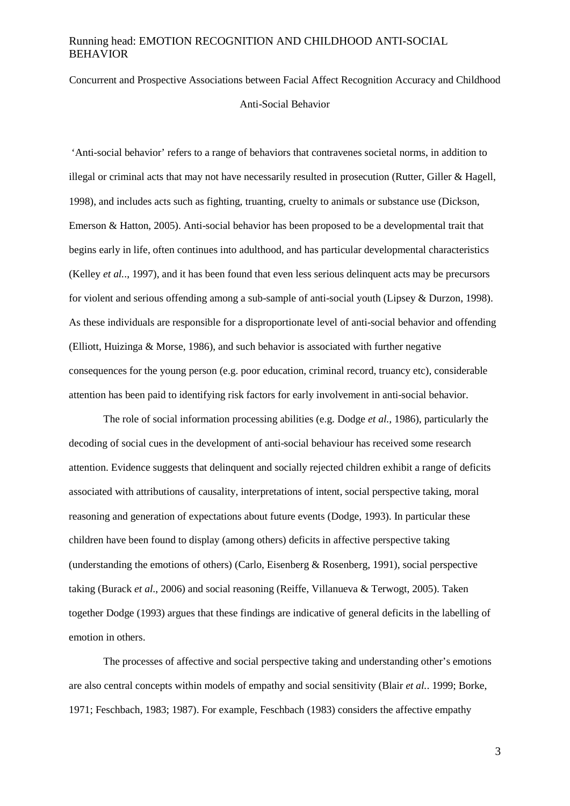## Concurrent and Prospective Associations between Facial Affect Recognition Accuracy and Childhood Anti-Social Behavior

'Anti-social behavior' refers to a range of behaviors that contravenes societal norms, in addition to illegal or criminal acts that may not have necessarily resulted in prosecution (Rutter, Giller & Hagell, 1998), and includes acts such as fighting, truanting, cruelty to animals or substance use (Dickson, Emerson & Hatton, 2005). Anti-social behavior has been proposed to be a developmental trait that begins early in life, often continues into adulthood, and has particular developmental characteristics (Kelley *et al.*., 1997), and it has been found that even less serious delinquent acts may be precursors for violent and serious offending among a sub-sample of anti-social youth (Lipsey & Durzon, 1998). As these individuals are responsible for a disproportionate level of anti-social behavior and offending (Elliott, Huizinga & Morse, 1986), and such behavior is associated with further negative consequences for the young person (e.g. poor education, criminal record, truancy etc), considerable attention has been paid to identifying risk factors for early involvement in anti-social behavior.

The role of social information processing abilities (e.g. Dodge *et al.,* 1986), particularly the decoding of social cues in the development of anti-social behaviour has received some research attention. Evidence suggests that delinquent and socially rejected children exhibit a range of deficits associated with attributions of causality, interpretations of intent, social perspective taking, moral reasoning and generation of expectations about future events (Dodge, 1993). In particular these children have been found to display (among others) deficits in affective perspective taking (understanding the emotions of others) (Carlo, Eisenberg & Rosenberg, 1991), social perspective taking (Burack *et al.*, 2006) and social reasoning (Reiffe, Villanueva & Terwogt, 2005). Taken together Dodge (1993) argues that these findings are indicative of general deficits in the labelling of emotion in others.

The processes of affective and social perspective taking and understanding other's emotions are also central concepts within models of empathy and social sensitivity (Blair *et al.*. 1999; Borke, 1971; Feschbach, 1983; 1987). For example, Feschbach (1983) considers the affective empathy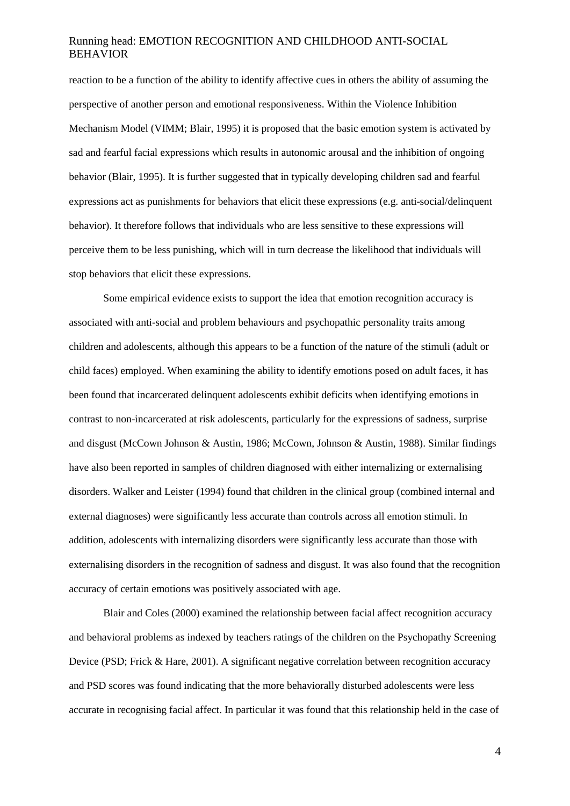reaction to be a function of the ability to identify affective cues in others the ability of assuming the perspective of another person and emotional responsiveness. Within the Violence Inhibition Mechanism Model (VIMM; Blair, 1995) it is proposed that the basic emotion system is activated by sad and fearful facial expressions which results in autonomic arousal and the inhibition of ongoing behavior (Blair, 1995). It is further suggested that in typically developing children sad and fearful expressions act as punishments for behaviors that elicit these expressions (e.g. anti-social/delinquent behavior). It therefore follows that individuals who are less sensitive to these expressions will perceive them to be less punishing, which will in turn decrease the likelihood that individuals will stop behaviors that elicit these expressions.

Some empirical evidence exists to support the idea that emotion recognition accuracy is associated with anti-social and problem behaviours and psychopathic personality traits among children and adolescents, although this appears to be a function of the nature of the stimuli (adult or child faces) employed. When examining the ability to identify emotions posed on adult faces, it has been found that incarcerated delinquent adolescents exhibit deficits when identifying emotions in contrast to non-incarcerated at risk adolescents, particularly for the expressions of sadness, surprise and disgust (McCown Johnson & Austin, 1986; McCown, Johnson & Austin, 1988). Similar findings have also been reported in samples of children diagnosed with either internalizing or externalising disorders. Walker and Leister (1994) found that children in the clinical group (combined internal and external diagnoses) were significantly less accurate than controls across all emotion stimuli. In addition, adolescents with internalizing disorders were significantly less accurate than those with externalising disorders in the recognition of sadness and disgust. It was also found that the recognition accuracy of certain emotions was positively associated with age.

Blair and Coles (2000) examined the relationship between facial affect recognition accuracy and behavioral problems as indexed by teachers ratings of the children on the Psychopathy Screening Device (PSD; Frick & Hare, 2001). A significant negative correlation between recognition accuracy and PSD scores was found indicating that the more behaviorally disturbed adolescents were less accurate in recognising facial affect. In particular it was found that this relationship held in the case of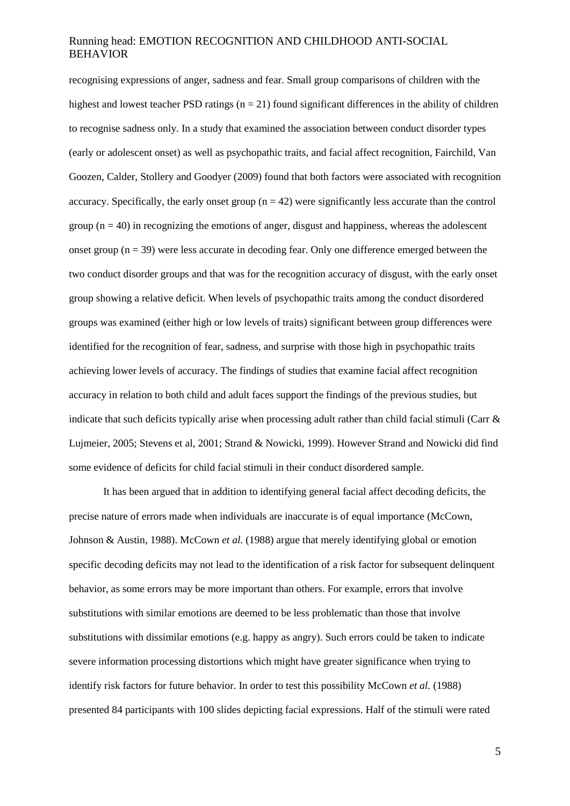recognising expressions of anger, sadness and fear. Small group comparisons of children with the highest and lowest teacher PSD ratings  $(n = 21)$  found significant differences in the ability of children to recognise sadness only. In a study that examined the association between conduct disorder types (early or adolescent onset) as well as psychopathic traits, and facial affect recognition, Fairchild, Van Goozen, Calder, Stollery and Goodyer (2009) found that both factors were associated with recognition accuracy. Specifically, the early onset group  $(n = 42)$  were significantly less accurate than the control group ( $n = 40$ ) in recognizing the emotions of anger, disgust and happiness, whereas the adolescent onset group  $(n = 39)$  were less accurate in decoding fear. Only one difference emerged between the two conduct disorder groups and that was for the recognition accuracy of disgust, with the early onset group showing a relative deficit. When levels of psychopathic traits among the conduct disordered groups was examined (either high or low levels of traits) significant between group differences were identified for the recognition of fear, sadness, and surprise with those high in psychopathic traits achieving lower levels of accuracy. The findings of studies that examine facial affect recognition accuracy in relation to both child and adult faces support the findings of the previous studies, but indicate that such deficits typically arise when processing adult rather than child facial stimuli (Carr  $\&$ Lujmeier, 2005; Stevens et al, 2001; Strand & Nowicki, 1999). However Strand and Nowicki did find some evidence of deficits for child facial stimuli in their conduct disordered sample.

It has been argued that in addition to identifying general facial affect decoding deficits, the precise nature of errors made when individuals are inaccurate is of equal importance (McCown, Johnson & Austin, 1988). McCown *et al.* (1988) argue that merely identifying global or emotion specific decoding deficits may not lead to the identification of a risk factor for subsequent delinquent behavior, as some errors may be more important than others. For example, errors that involve substitutions with similar emotions are deemed to be less problematic than those that involve substitutions with dissimilar emotions (e.g. happy as angry). Such errors could be taken to indicate severe information processing distortions which might have greater significance when trying to identify risk factors for future behavior. In order to test this possibility McCown *et al.* (1988) presented 84 participants with 100 slides depicting facial expressions. Half of the stimuli were rated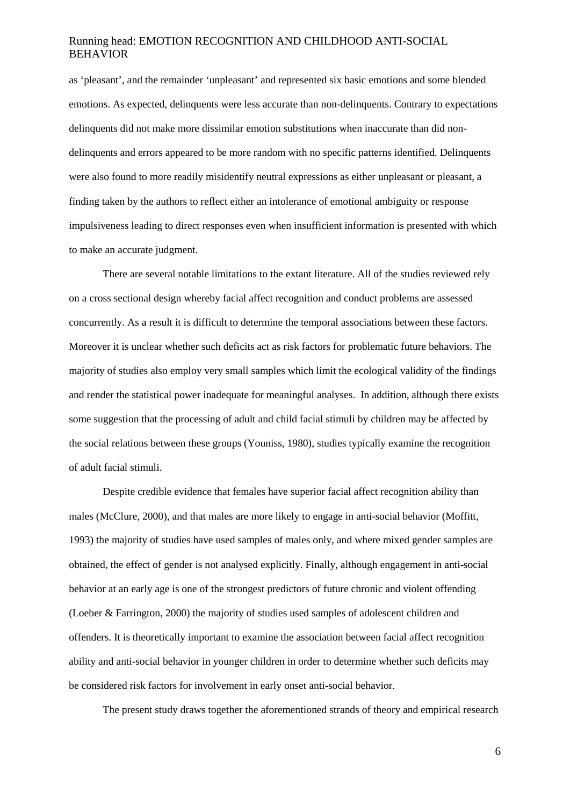as 'pleasant', and the remainder 'unpleasant' and represented six basic emotions and some blended emotions. As expected, delinquents were less accurate than non-delinquents. Contrary to expectations delinquents did not make more dissimilar emotion substitutions when inaccurate than did nondelinquents and errors appeared to be more random with no specific patterns identified. Delinquents were also found to more readily misidentify neutral expressions as either unpleasant or pleasant, a finding taken by the authors to reflect either an intolerance of emotional ambiguity or response impulsiveness leading to direct responses even when insufficient information is presented with which to make an accurate judgment.

There are several notable limitations to the extant literature. All of the studies reviewed rely on a cross sectional design whereby facial affect recognition and conduct problems are assessed concurrently. As a result it is difficult to determine the temporal associations between these factors. Moreover it is unclear whether such deficits act as risk factors for problematic future behaviors. The majority of studies also employ very small samples which limit the ecological validity of the findings and render the statistical power inadequate for meaningful analyses. In addition, although there exists some suggestion that the processing of adult and child facial stimuli by children may be affected by the social relations between these groups (Youniss, 1980), studies typically examine the recognition of adult facial stimuli.

Despite credible evidence that females have superior facial affect recognition ability than males (McClure, 2000), and that males are more likely to engage in anti-social behavior (Moffitt, 1993) the majority of studies have used samples of males only, and where mixed gender samples are obtained, the effect of gender is not analysed explicitly. Finally, although engagement in anti-social behavior at an early age is one of the strongest predictors of future chronic and violent offending (Loeber & Farrington, 2000) the majority of studies used samples of adolescent children and offenders. It is theoretically important to examine the association between facial affect recognition ability and anti-social behavior in younger children in order to determine whether such deficits may be considered risk factors for involvement in early onset anti-social behavior.

The present study draws together the aforementioned strands of theory and empirical research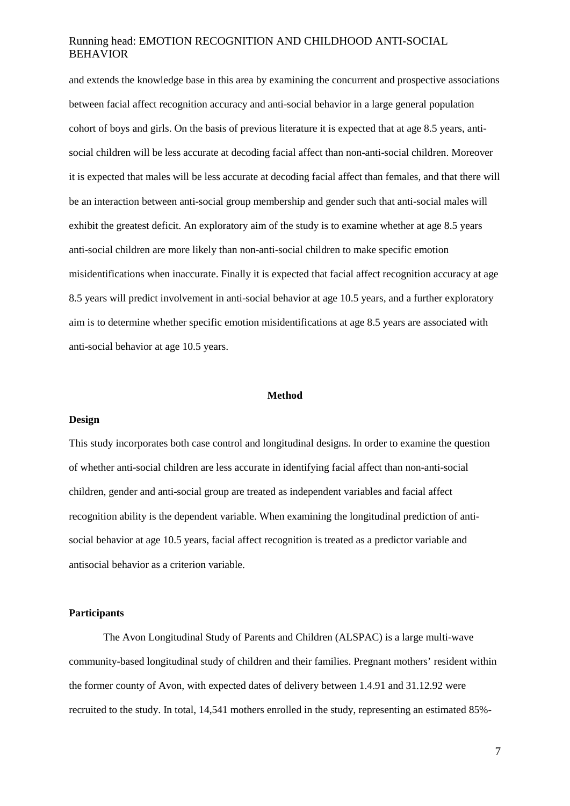and extends the knowledge base in this area by examining the concurrent and prospective associations between facial affect recognition accuracy and anti-social behavior in a large general population cohort of boys and girls. On the basis of previous literature it is expected that at age 8.5 years, antisocial children will be less accurate at decoding facial affect than non-anti-social children. Moreover it is expected that males will be less accurate at decoding facial affect than females, and that there will be an interaction between anti-social group membership and gender such that anti-social males will exhibit the greatest deficit. An exploratory aim of the study is to examine whether at age 8.5 years anti-social children are more likely than non-anti-social children to make specific emotion misidentifications when inaccurate. Finally it is expected that facial affect recognition accuracy at age 8.5 years will predict involvement in anti-social behavior at age 10.5 years, and a further exploratory aim is to determine whether specific emotion misidentifications at age 8.5 years are associated with anti-social behavior at age 10.5 years.

#### **Method**

#### **Design**

This study incorporates both case control and longitudinal designs. In order to examine the question of whether anti-social children are less accurate in identifying facial affect than non-anti-social children, gender and anti-social group are treated as independent variables and facial affect recognition ability is the dependent variable. When examining the longitudinal prediction of antisocial behavior at age 10.5 years, facial affect recognition is treated as a predictor variable and antisocial behavior as a criterion variable.

#### **Participants**

The Avon Longitudinal Study of Parents and Children (ALSPAC) is a large multi-wave community-based longitudinal study of children and their families. Pregnant mothers' resident within the former county of Avon, with expected dates of delivery between 1.4.91 and 31.12.92 were recruited to the study. In total, 14,541 mothers enrolled in the study, representing an estimated 85%-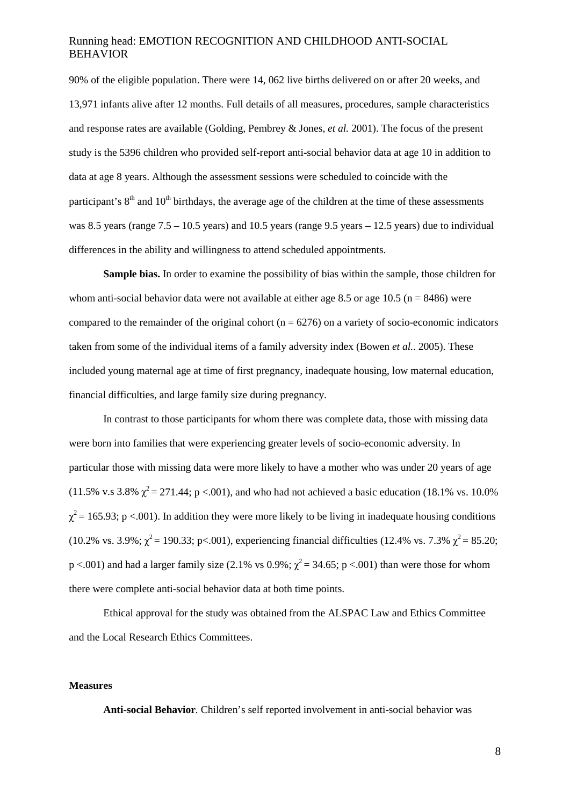90% of the eligible population. There were 14, 062 live births delivered on or after 20 weeks, and 13,971 infants alive after 12 months. Full details of all measures, procedures, sample characteristics and response rates are available (Golding, Pembrey & Jones, *et al.* 2001). The focus of the present study is the 5396 children who provided self-report anti-social behavior data at age 10 in addition to data at age 8 years. Although the assessment sessions were scheduled to coincide with the participant's  $8<sup>th</sup>$  and  $10<sup>th</sup>$  birthdays, the average age of the children at the time of these assessments was 8.5 years (range  $7.5 - 10.5$  years) and 10.5 years (range 9.5 years – 12.5 years) due to individual differences in the ability and willingness to attend scheduled appointments.

**Sample bias.** In order to examine the possibility of bias within the sample, those children for whom anti-social behavior data were not available at either age 8.5 or age 10.5 ( $n = 8486$ ) were compared to the remainder of the original cohort ( $n = 6276$ ) on a variety of socio-economic indicators taken from some of the individual items of a family adversity index (Bowen *et al.*. 2005). These included young maternal age at time of first pregnancy, inadequate housing, low maternal education, financial difficulties, and large family size during pregnancy.

In contrast to those participants for whom there was complete data, those with missing data were born into families that were experiencing greater levels of socio-economic adversity. In particular those with missing data were more likely to have a mother who was under 20 years of age (11.5% v.s 3.8%  $\chi^2$  = 271.44; p <.001), and who had not achieved a basic education (18.1% vs. 10.0%)  $\chi^2$  = 165.93; p <.001). In addition they were more likely to be living in inadequate housing conditions (10.2% vs. 3.9%;  $\chi^2$  = 190.33; p<.001), experiencing financial difficulties (12.4% vs. 7.3%  $\chi^2$  = 85.20;  $p < .001$ ) and had a larger family size (2.1% vs 0.9%;  $\chi^2 = 34.65$ ; p <.001) than were those for whom there were complete anti-social behavior data at both time points.

Ethical approval for the study was obtained from the ALSPAC Law and Ethics Committee and the Local Research Ethics Committees.

#### **Measures**

**Anti-social Behavior***.* Children's self reported involvement in anti-social behavior was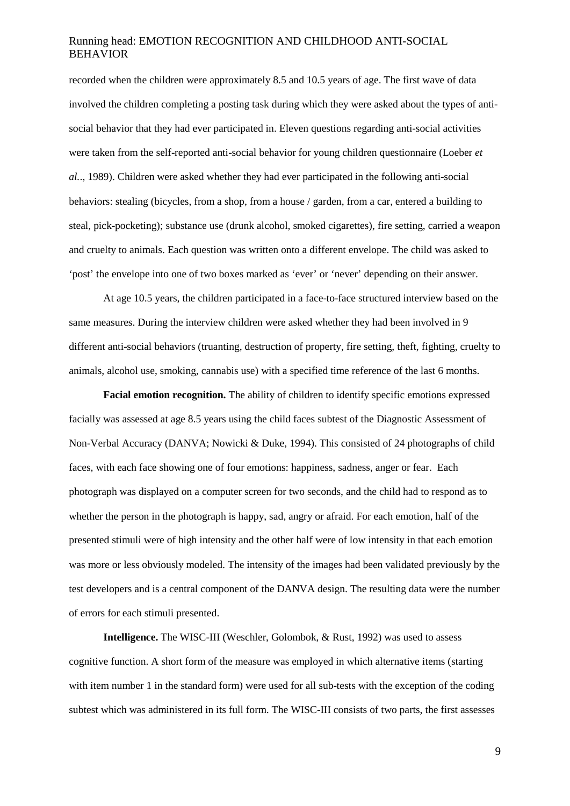recorded when the children were approximately 8.5 and 10.5 years of age. The first wave of data involved the children completing a posting task during which they were asked about the types of antisocial behavior that they had ever participated in. Eleven questions regarding anti-social activities were taken from the self-reported anti-social behavior for young children questionnaire (Loeber *et al.*., 1989). Children were asked whether they had ever participated in the following anti-social behaviors: stealing (bicycles, from a shop, from a house / garden, from a car, entered a building to steal, pick-pocketing); substance use (drunk alcohol, smoked cigarettes), fire setting, carried a weapon and cruelty to animals. Each question was written onto a different envelope. The child was asked to 'post' the envelope into one of two boxes marked as 'ever' or 'never' depending on their answer.

At age 10.5 years, the children participated in a face-to-face structured interview based on the same measures. During the interview children were asked whether they had been involved in 9 different anti-social behaviors (truanting, destruction of property, fire setting, theft, fighting, cruelty to animals, alcohol use, smoking, cannabis use) with a specified time reference of the last 6 months.

**Facial emotion recognition.** The ability of children to identify specific emotions expressed facially was assessed at age 8.5 years using the child faces subtest of the Diagnostic Assessment of Non-Verbal Accuracy (DANVA; Nowicki & Duke, 1994). This consisted of 24 photographs of child faces, with each face showing one of four emotions: happiness, sadness, anger or fear. Each photograph was displayed on a computer screen for two seconds, and the child had to respond as to whether the person in the photograph is happy, sad, angry or afraid. For each emotion, half of the presented stimuli were of high intensity and the other half were of low intensity in that each emotion was more or less obviously modeled. The intensity of the images had been validated previously by the test developers and is a central component of the DANVA design. The resulting data were the number of errors for each stimuli presented.

**Intelligence.** The WISC-III (Weschler, Golombok, & Rust, 1992) was used to assess cognitive function. A short form of the measure was employed in which alternative items (starting with item number 1 in the standard form) were used for all sub-tests with the exception of the coding subtest which was administered in its full form. The WISC-III consists of two parts, the first assesses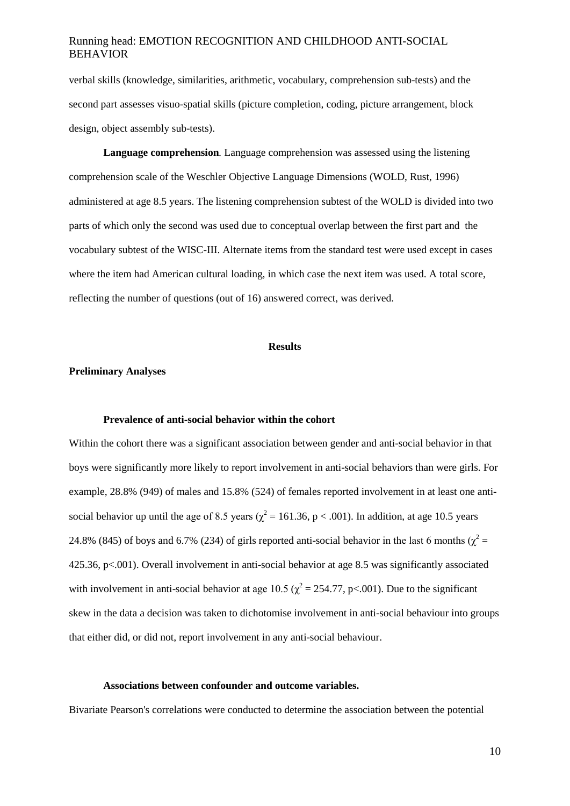verbal skills (knowledge, similarities, arithmetic, vocabulary, comprehension sub-tests) and the second part assesses visuo-spatial skills (picture completion, coding, picture arrangement, block design, object assembly sub-tests).

**Language comprehension***.* Language comprehension was assessed using the listening comprehension scale of the Weschler Objective Language Dimensions (WOLD, Rust, 1996) administered at age 8.5 years. The listening comprehension subtest of the WOLD is divided into two parts of which only the second was used due to conceptual overlap between the first part and the vocabulary subtest of the WISC-III. Alternate items from the standard test were used except in cases where the item had American cultural loading, in which case the next item was used. A total score, reflecting the number of questions (out of 16) answered correct, was derived.

#### **Results**

#### **Preliminary Analyses**

#### **Prevalence of anti-social behavior within the cohort**

Within the cohort there was a significant association between gender and anti-social behavior in that boys were significantly more likely to report involvement in anti-social behaviors than were girls. For example, 28.8% (949) of males and 15.8% (524) of females reported involvement in at least one antisocial behavior up until the age of 8.5 years ( $\chi^2$  = 161.36, p < .001). In addition, at age 10.5 years 24.8% (845) of boys and 6.7% (234) of girls reported anti-social behavior in the last 6 months ( $\chi^2$  = 425.36, p<.001). Overall involvement in anti-social behavior at age 8.5 was significantly associated with involvement in anti-social behavior at age 10.5 ( $\chi^2$  = 254.77, p<.001). Due to the significant skew in the data a decision was taken to dichotomise involvement in anti-social behaviour into groups that either did, or did not, report involvement in any anti-social behaviour.

#### **Associations between confounder and outcome variables.**

Bivariate Pearson's correlations were conducted to determine the association between the potential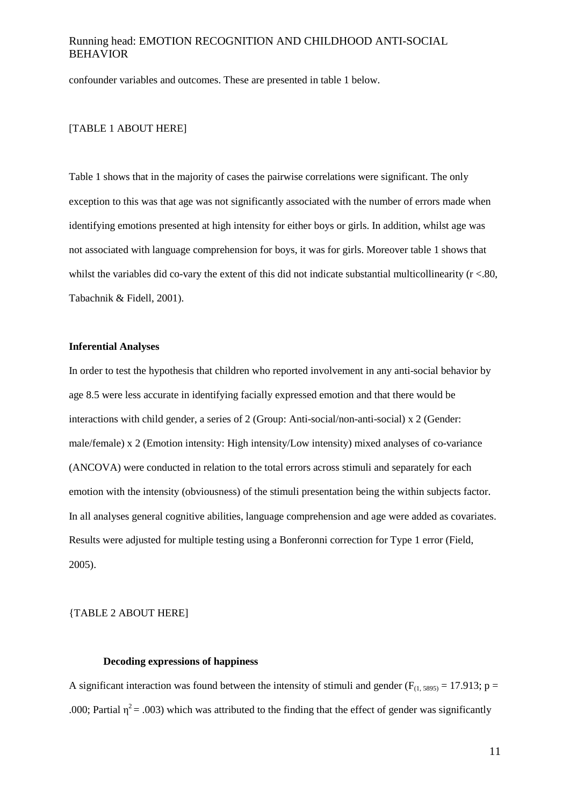confounder variables and outcomes. These are presented in table 1 below.

#### [TABLE 1 ABOUT HERE]

Table 1 shows that in the majority of cases the pairwise correlations were significant. The only exception to this was that age was not significantly associated with the number of errors made when identifying emotions presented at high intensity for either boys or girls. In addition, whilst age was not associated with language comprehension for boys, it was for girls. Moreover table 1 shows that whilst the variables did co-vary the extent of this did not indicate substantial multicollinearity  $(r < .80)$ , Tabachnik & Fidell, 2001).

#### **Inferential Analyses**

In order to test the hypothesis that children who reported involvement in any anti-social behavior by age 8.5 were less accurate in identifying facially expressed emotion and that there would be interactions with child gender, a series of 2 (Group: Anti-social/non-anti-social) x 2 (Gender: male/female) x 2 (Emotion intensity: High intensity/Low intensity) mixed analyses of co-variance (ANCOVA) were conducted in relation to the total errors across stimuli and separately for each emotion with the intensity (obviousness) of the stimuli presentation being the within subjects factor. In all analyses general cognitive abilities, language comprehension and age were added as covariates. Results were adjusted for multiple testing using a Bonferonni correction for Type 1 error (Field, 2005).

{TABLE 2 ABOUT HERE]

#### **Decoding expressions of happiness**

A significant interaction was found between the intensity of stimuli and gender ( $F_{(1, 5895)} = 17.913$ ; p = .000; Partial  $\eta^2$  = .003) which was attributed to the finding that the effect of gender was significantly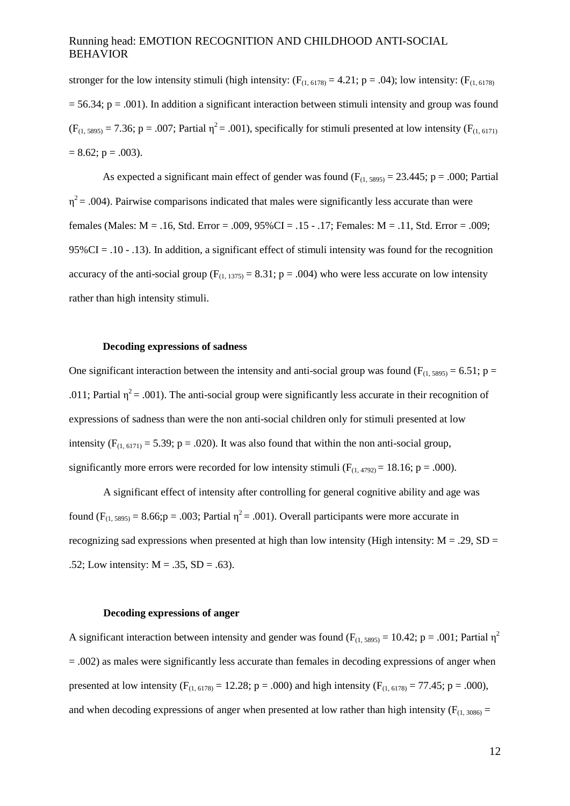stronger for the low intensity stimuli (high intensity:  $(F_{(1, 6178)} = 4.21; p = .04)$ ; low intensity:  $(F_{(1, 6178)}$  $= 56.34$ ; p = .001). In addition a significant interaction between stimuli intensity and group was found  $(F_{(1, 5895)} = 7.36; p = .007;$  Partial  $\eta^2 = .001$ ), specifically for stimuli presented at low intensity ( $F_{(1, 6171)}$ )  $= 8.62$ ; p = .003).

As expected a significant main effect of gender was found  $(F<sub>(1,5895)</sub> = 23.445; p = .000; Partial)$  $\eta^2$  = .004). Pairwise comparisons indicated that males were significantly less accurate than were females (Males: M = .16, Std. Error = .009, 95%CI = .15 - .17; Females: M = .11, Std. Error = .009;  $95\%$ CI = .10 - .13). In addition, a significant effect of stimuli intensity was found for the recognition accuracy of the anti-social group ( $F_{(1, 1375)} = 8.31$ ; p = .004) who were less accurate on low intensity rather than high intensity stimuli.

#### **Decoding expressions of sadness**

One significant interaction between the intensity and anti-social group was found ( $F_{(1, 5895)} = 6.51$ ; p = .011; Partial  $\eta^2$  = .001). The anti-social group were significantly less accurate in their recognition of expressions of sadness than were the non anti-social children only for stimuli presented at low intensity ( $F_{(1, 6171)} = 5.39$ ; p = .020). It was also found that within the non anti-social group, significantly more errors were recorded for low intensity stimuli  $(F_{(1,4792)} = 18.16; p = .000)$ .

A significant effect of intensity after controlling for general cognitive ability and age was found  $(F_{(1, 5895)} = 8.66; p = .003;$  Partial  $\eta^2 = .001$ ). Overall participants were more accurate in recognizing sad expressions when presented at high than low intensity (High intensity:  $M = .29$ , SD = .52; Low intensity:  $M = .35$ ,  $SD = .63$ ).

#### **Decoding expressions of anger**

A significant interaction between intensity and gender was found ( $F_{(1, 5895)} = 10.42$ ; p = .001; Partial  $\eta^2$ = .002) as males were significantly less accurate than females in decoding expressions of anger when presented at low intensity ( $F_{(1, 6178)} = 12.28$ ; p = .000) and high intensity ( $F_{(1, 6178)} = 77.45$ ; p = .000), and when decoding expressions of anger when presented at low rather than high intensity ( $F_{(1, 3086)}$  =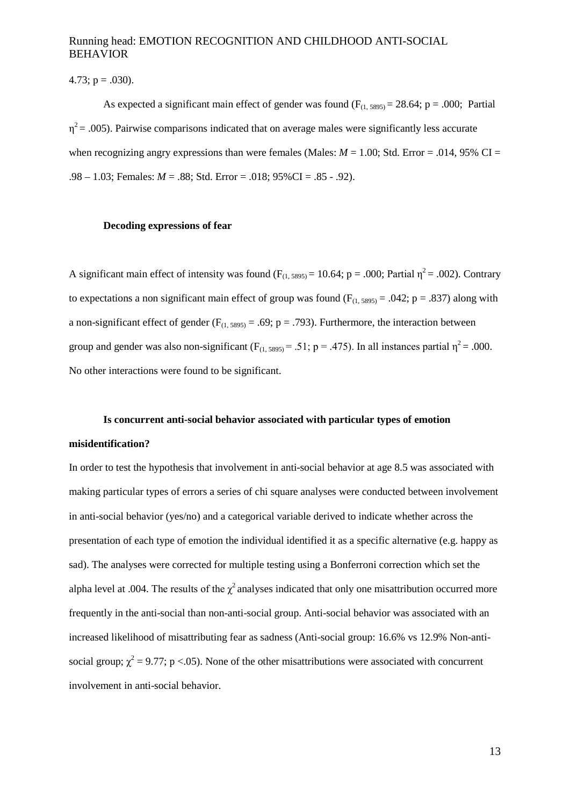4.73;  $p = .030$ ).

As expected a significant main effect of gender was found  $(F<sub>(1.5895)</sub> = 28.64; p = .000; Partial)$  $\eta^2$  = .005). Pairwise comparisons indicated that on average males were significantly less accurate when recognizing angry expressions than were females (Males:  $M = 1.00$ ; Std. Error = .014, 95% CI = .98 – 1.03; Females: *M* = .88; Std. Error = .018; 95%CI = .85 - .92).

#### **Decoding expressions of fear**

A significant main effect of intensity was found  $(F_{(1, 5895)} = 10.64; p = .000;$  Partial  $\eta^2 = .002$ ). Contrary to expectations a non significant main effect of group was found ( $F_{(1, 5895)} = .042$ ; p = .837) along with a non-significant effect of gender ( $F_{(1, 5895)} = .69$ ; p = .793). Furthermore, the interaction between group and gender was also non-significant ( $F_{(1, 5895)} = .51$ ; p = .475). In all instances partial  $\eta^2 = .000$ . No other interactions were found to be significant.

#### **Is concurrent anti-social behavior associated with particular types of emotion**

#### **misidentification?**

In order to test the hypothesis that involvement in anti-social behavior at age 8.5 was associated with making particular types of errors a series of chi square analyses were conducted between involvement in anti-social behavior (yes/no) and a categorical variable derived to indicate whether across the presentation of each type of emotion the individual identified it as a specific alternative (e.g. happy as sad). The analyses were corrected for multiple testing using a Bonferroni correction which set the alpha level at .004. The results of the  $\chi^2$  analyses indicated that only one misattribution occurred more frequently in the anti-social than non-anti-social group. Anti-social behavior was associated with an increased likelihood of misattributing fear as sadness (Anti-social group: 16.6% vs 12.9% Non-antisocial group;  $\chi^2$  = 9.77; p <.05). None of the other misattributions were associated with concurrent involvement in anti-social behavior.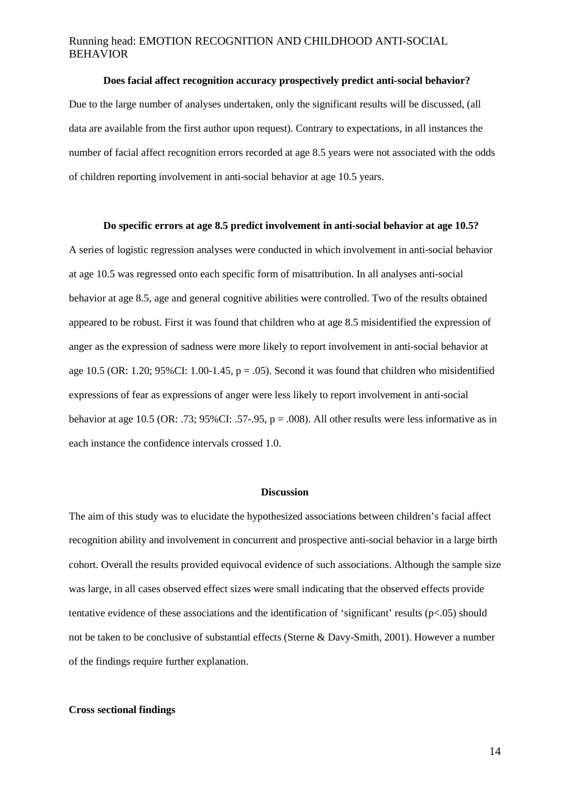#### **Does facial affect recognition accuracy prospectively predict anti-social behavior?**

Due to the large number of analyses undertaken, only the significant results will be discussed, (all data are available from the first author upon request). Contrary to expectations, in all instances the number of facial affect recognition errors recorded at age 8.5 years were not associated with the odds of children reporting involvement in anti-social behavior at age 10.5 years.

#### **Do specific errors at age 8.5 predict involvement in anti-social behavior at age 10.5?**

A series of logistic regression analyses were conducted in which involvement in anti-social behavior at age 10.5 was regressed onto each specific form of misattribution. In all analyses anti-social behavior at age 8.5, age and general cognitive abilities were controlled. Two of the results obtained appeared to be robust. First it was found that children who at age 8.5 misidentified the expression of anger as the expression of sadness were more likely to report involvement in anti-social behavior at age 10.5 (OR: 1.20;  $95\%$ CI: 1.00-1.45, p = .05). Second it was found that children who misidentified expressions of fear as expressions of anger were less likely to report involvement in anti-social behavior at age 10.5 (OR: .73; 95%CI: .57-.95, p = .008). All other results were less informative as in each instance the confidence intervals crossed 1.0.

#### **Discussion**

The aim of this study was to elucidate the hypothesized associations between children's facial affect recognition ability and involvement in concurrent and prospective anti-social behavior in a large birth cohort. Overall the results provided equivocal evidence of such associations. Although the sample size was large, in all cases observed effect sizes were small indicating that the observed effects provide tentative evidence of these associations and the identification of 'significant' results (p<.05) should not be taken to be conclusive of substantial effects (Sterne & Davy-Smith, 2001). However a number of the findings require further explanation.

#### **Cross sectional findings**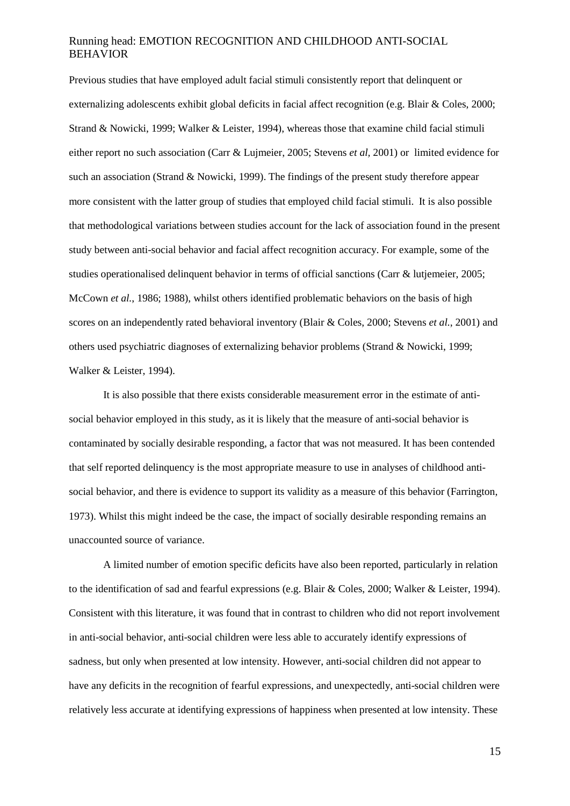Previous studies that have employed adult facial stimuli consistently report that delinquent or externalizing adolescents exhibit global deficits in facial affect recognition (e.g. Blair & Coles, 2000; Strand & Nowicki, 1999; Walker & Leister, 1994), whereas those that examine child facial stimuli either report no such association (Carr & Lujmeier, 2005; Stevens *et al,* 2001) or limited evidence for such an association (Strand & Nowicki, 1999). The findings of the present study therefore appear more consistent with the latter group of studies that employed child facial stimuli. It is also possible that methodological variations between studies account for the lack of association found in the present study between anti-social behavior and facial affect recognition accuracy. For example, some of the studies operationalised delinquent behavior in terms of official sanctions (Carr & lutjemeier, 2005; McCown *et al.*, 1986; 1988), whilst others identified problematic behaviors on the basis of high scores on an independently rated behavioral inventory (Blair & Coles, 2000; Stevens *et al.*, 2001) and others used psychiatric diagnoses of externalizing behavior problems (Strand & Nowicki, 1999; Walker & Leister, 1994).

It is also possible that there exists considerable measurement error in the estimate of antisocial behavior employed in this study, as it is likely that the measure of anti-social behavior is contaminated by socially desirable responding, a factor that was not measured. It has been contended that self reported delinquency is the most appropriate measure to use in analyses of childhood antisocial behavior, and there is evidence to support its validity as a measure of this behavior (Farrington, 1973). Whilst this might indeed be the case, the impact of socially desirable responding remains an unaccounted source of variance.

A limited number of emotion specific deficits have also been reported, particularly in relation to the identification of sad and fearful expressions (e.g. Blair & Coles, 2000; Walker & Leister, 1994). Consistent with this literature, it was found that in contrast to children who did not report involvement in anti-social behavior, anti-social children were less able to accurately identify expressions of sadness, but only when presented at low intensity. However, anti-social children did not appear to have any deficits in the recognition of fearful expressions, and unexpectedly, anti-social children were relatively less accurate at identifying expressions of happiness when presented at low intensity. These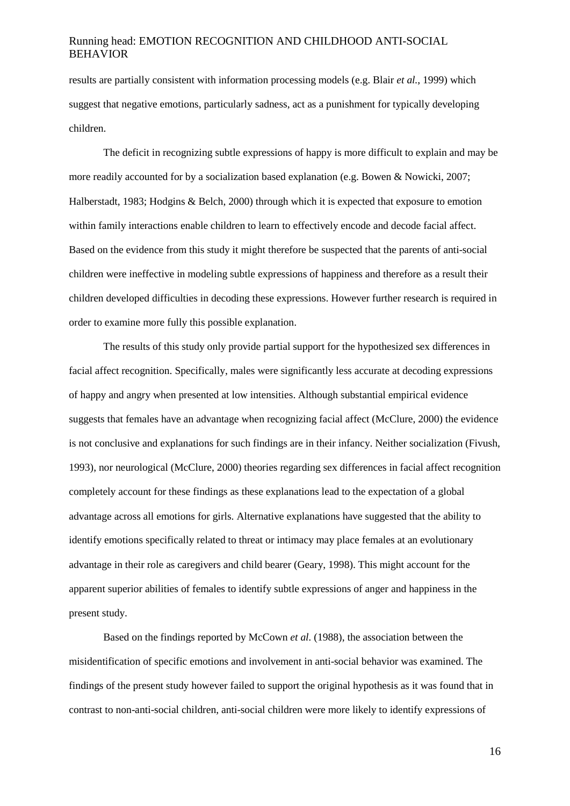results are partially consistent with information processing models (e.g. Blair *et al.*, 1999) which suggest that negative emotions, particularly sadness, act as a punishment for typically developing children.

The deficit in recognizing subtle expressions of happy is more difficult to explain and may be more readily accounted for by a socialization based explanation (e.g. Bowen & Nowicki, 2007; Halberstadt, 1983; Hodgins & Belch, 2000) through which it is expected that exposure to emotion within family interactions enable children to learn to effectively encode and decode facial affect. Based on the evidence from this study it might therefore be suspected that the parents of anti-social children were ineffective in modeling subtle expressions of happiness and therefore as a result their children developed difficulties in decoding these expressions. However further research is required in order to examine more fully this possible explanation.

The results of this study only provide partial support for the hypothesized sex differences in facial affect recognition. Specifically, males were significantly less accurate at decoding expressions of happy and angry when presented at low intensities. Although substantial empirical evidence suggests that females have an advantage when recognizing facial affect (McClure, 2000) the evidence is not conclusive and explanations for such findings are in their infancy. Neither socialization (Fivush, 1993), nor neurological (McClure, 2000) theories regarding sex differences in facial affect recognition completely account for these findings as these explanations lead to the expectation of a global advantage across all emotions for girls. Alternative explanations have suggested that the ability to identify emotions specifically related to threat or intimacy may place females at an evolutionary advantage in their role as caregivers and child bearer (Geary, 1998). This might account for the apparent superior abilities of females to identify subtle expressions of anger and happiness in the present study.

Based on the findings reported by McCown *et al.* (1988), the association between the misidentification of specific emotions and involvement in anti-social behavior was examined. The findings of the present study however failed to support the original hypothesis as it was found that in contrast to non-anti-social children, anti-social children were more likely to identify expressions of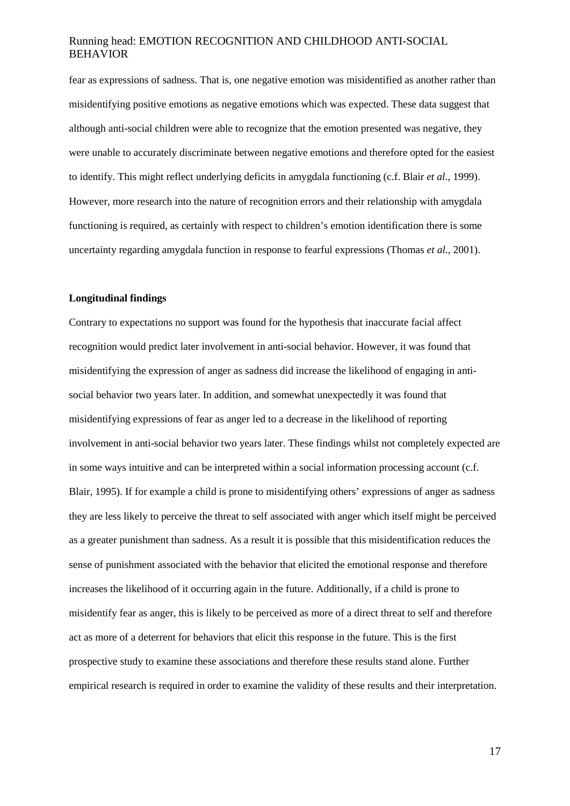fear as expressions of sadness. That is, one negative emotion was misidentified as another rather than misidentifying positive emotions as negative emotions which was expected. These data suggest that although anti-social children were able to recognize that the emotion presented was negative, they were unable to accurately discriminate between negative emotions and therefore opted for the easiest to identify. This might reflect underlying deficits in amygdala functioning (c.f. Blair *et al.*, 1999). However, more research into the nature of recognition errors and their relationship with amygdala functioning is required, as certainly with respect to children's emotion identification there is some uncertainty regarding amygdala function in response to fearful expressions (Thomas *et al.*, 2001).

#### **Longitudinal findings**

Contrary to expectations no support was found for the hypothesis that inaccurate facial affect recognition would predict later involvement in anti-social behavior. However, it was found that misidentifying the expression of anger as sadness did increase the likelihood of engaging in antisocial behavior two years later. In addition, and somewhat unexpectedly it was found that misidentifying expressions of fear as anger led to a decrease in the likelihood of reporting involvement in anti-social behavior two years later. These findings whilst not completely expected are in some ways intuitive and can be interpreted within a social information processing account (c.f. Blair, 1995). If for example a child is prone to misidentifying others' expressions of anger as sadness they are less likely to perceive the threat to self associated with anger which itself might be perceived as a greater punishment than sadness. As a result it is possible that this misidentification reduces the sense of punishment associated with the behavior that elicited the emotional response and therefore increases the likelihood of it occurring again in the future. Additionally, if a child is prone to misidentify fear as anger, this is likely to be perceived as more of a direct threat to self and therefore act as more of a deterrent for behaviors that elicit this response in the future. This is the first prospective study to examine these associations and therefore these results stand alone. Further empirical research is required in order to examine the validity of these results and their interpretation.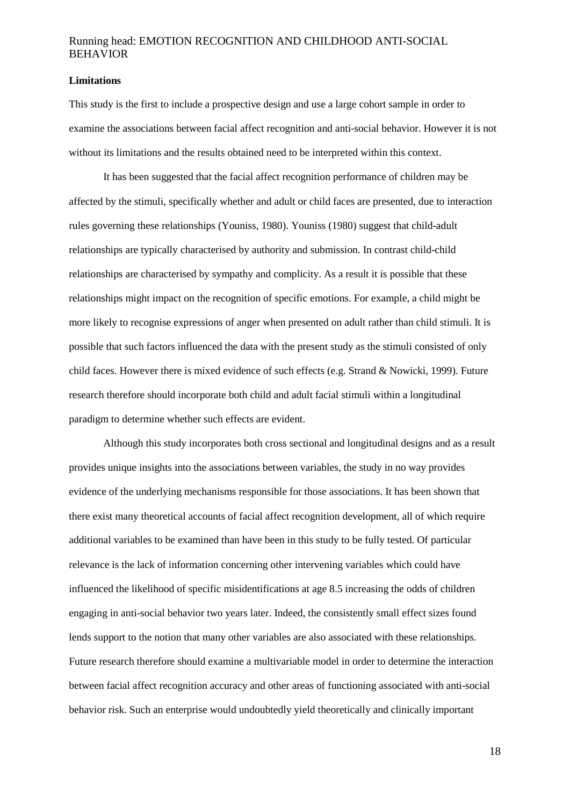#### **Limitations**

This study is the first to include a prospective design and use a large cohort sample in order to examine the associations between facial affect recognition and anti-social behavior. However it is not without its limitations and the results obtained need to be interpreted within this context.

It has been suggested that the facial affect recognition performance of children may be affected by the stimuli, specifically whether and adult or child faces are presented, due to interaction rules governing these relationships (Youniss, 1980). Youniss (1980) suggest that child-adult relationships are typically characterised by authority and submission. In contrast child-child relationships are characterised by sympathy and complicity. As a result it is possible that these relationships might impact on the recognition of specific emotions. For example, a child might be more likely to recognise expressions of anger when presented on adult rather than child stimuli. It is possible that such factors influenced the data with the present study as the stimuli consisted of only child faces. However there is mixed evidence of such effects (e.g. Strand & Nowicki, 1999). Future research therefore should incorporate both child and adult facial stimuli within a longitudinal paradigm to determine whether such effects are evident.

Although this study incorporates both cross sectional and longitudinal designs and as a result provides unique insights into the associations between variables, the study in no way provides evidence of the underlying mechanisms responsible for those associations. It has been shown that there exist many theoretical accounts of facial affect recognition development, all of which require additional variables to be examined than have been in this study to be fully tested. Of particular relevance is the lack of information concerning other intervening variables which could have influenced the likelihood of specific misidentifications at age 8.5 increasing the odds of children engaging in anti-social behavior two years later. Indeed, the consistently small effect sizes found lends support to the notion that many other variables are also associated with these relationships. Future research therefore should examine a multivariable model in order to determine the interaction between facial affect recognition accuracy and other areas of functioning associated with anti-social behavior risk. Such an enterprise would undoubtedly yield theoretically and clinically important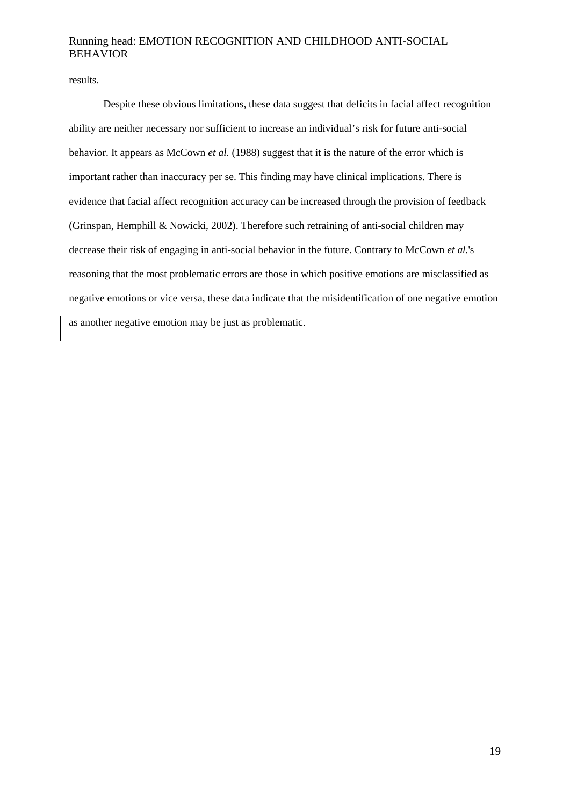results.

Despite these obvious limitations, these data suggest that deficits in facial affect recognition ability are neither necessary nor sufficient to increase an individual's risk for future anti-social behavior. It appears as McCown *et al.* (1988) suggest that it is the nature of the error which is important rather than inaccuracy per se. This finding may have clinical implications. There is evidence that facial affect recognition accuracy can be increased through the provision of feedback (Grinspan, Hemphill & Nowicki, 2002). Therefore such retraining of anti-social children may decrease their risk of engaging in anti-social behavior in the future. Contrary to McCown *et al.*'s reasoning that the most problematic errors are those in which positive emotions are misclassified as negative emotions or vice versa, these data indicate that the misidentification of one negative emotion as another negative emotion may be just as problematic.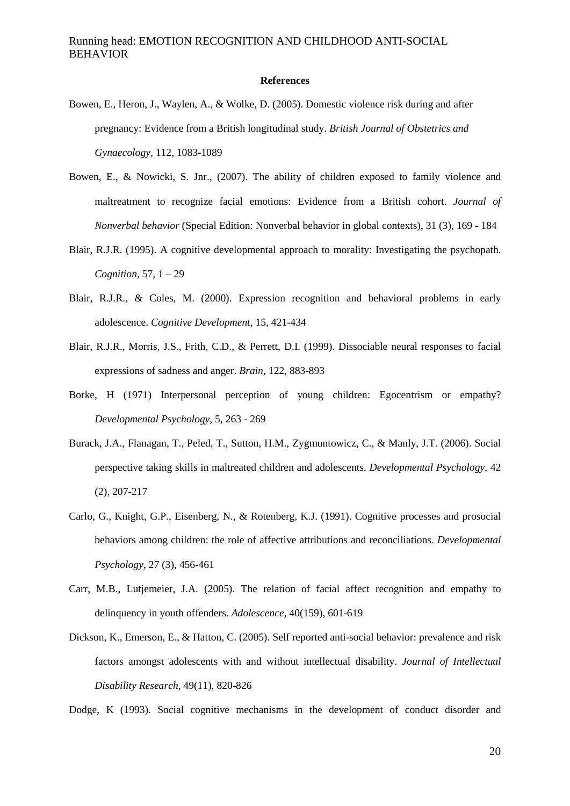#### **References**

- Bowen, E., Heron, J., Waylen, A., & Wolke, D. (2005). Domestic violence risk during and after pregnancy: Evidence from a British longitudinal study. *British Journal of Obstetrics and Gynaecology,* 112, 1083-1089
- Bowen, E., & Nowicki, S. Jnr., (2007). The ability of children exposed to family violence and maltreatment to recognize facial emotions: Evidence from a British cohort. *Journal of Nonverbal behavior* (Special Edition: Nonverbal behavior in global contexts), 31 (3), 169 - 184
- Blair, R.J.R. (1995). A cognitive developmental approach to morality: Investigating the psychopath. *Cognition,* 57, 1 – 29
- Blair, R.J.R., & Coles, M. (2000). Expression recognition and behavioral problems in early adolescence. *Cognitive Development,* 15, 421-434
- Blair, R.J.R., Morris, J.S., Frith, C.D., & Perrett, D.I. (1999). Dissociable neural responses to facial expressions of sadness and anger. *Brain,* 122, 883-893
- Borke, H (1971) Interpersonal perception of young children: Egocentrism or empathy? *Developmental Psychology,* 5, 263 - 269
- Burack, J.A., Flanagan, T., Peled, T., Sutton, H.M., Zygmuntowicz, C., & Manly, J.T. (2006). Social perspective taking skills in maltreated children and adolescents. *Developmental Psychology,* 42 (2), 207-217
- Carlo, G., Knight, G.P., Eisenberg, N., & Rotenberg, K.J. (1991). Cognitive processes and prosocial behaviors among children: the role of affective attributions and reconciliations. *Developmental Psychology,* 27 (3), 456-461
- Carr, M.B., Lutjemeier, J.A. (2005). The relation of facial affect recognition and empathy to delinquency in youth offenders. *Adolescence,* 40(159), 601-619
- Dickson, K., Emerson, E., & Hatton, C. (2005). Self reported anti-social behavior: prevalence and risk factors amongst adolescents with and without intellectual disability. *Journal of Intellectual Disability Research,* 49(11), 820-826

Dodge, K (1993). Social cognitive mechanisms in the development of conduct disorder and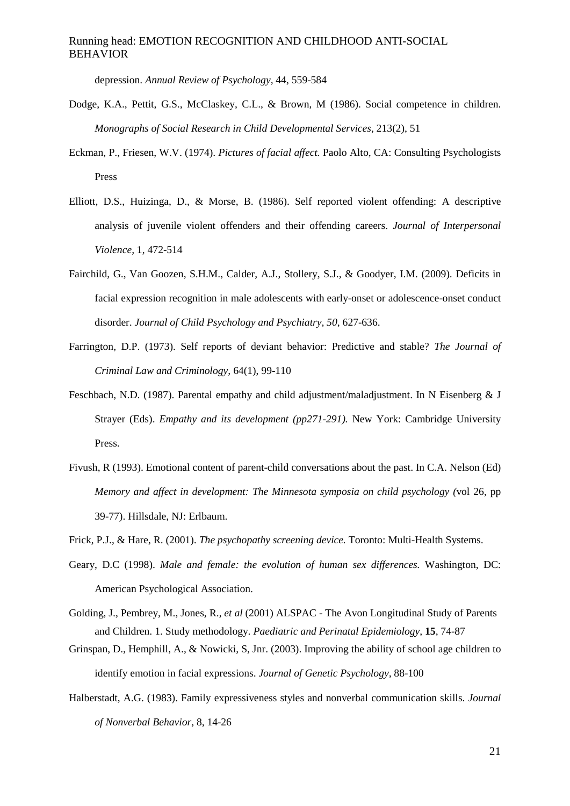depression. *Annual Review of Psychology,* 44, 559-584

- Dodge, K.A., Pettit, G.S., McClaskey, C.L., & Brown, M (1986). Social competence in children. *Monographs of Social Research in Child Developmental Services,* 213(2), 51
- Eckman, P., Friesen, W.V. (1974). *Pictures of facial affect.* Paolo Alto, CA: Consulting Psychologists Press
- Elliott, D.S., Huizinga, D., & Morse, B. (1986). Self reported violent offending: A descriptive analysis of juvenile violent offenders and their offending careers. *Journal of Interpersonal Violence,* 1, 472-514
- Fairchild, G., Van Goozen, S.H.M., Calder, A.J., Stollery, S.J., & Goodyer, I.M. (2009). Deficits in facial expression recognition in male adolescents with early-onset or adolescence-onset conduct disorder. *Journal of Child Psychology and Psychiatry, 50,* 627-636.
- Farrington, D.P. (1973). Self reports of deviant behavior: Predictive and stable? *The Journal of Criminal Law and Criminology,* 64(1), 99-110
- Feschbach, N.D. (1987). Parental empathy and child adjustment/maladjustment. In N Eisenberg & J Strayer (Eds). *Empathy and its development (pp271-291).* New York: Cambridge University Press.
- Fivush, R (1993). Emotional content of parent-child conversations about the past. In C.A. Nelson (Ed) *Memory and affect in development: The Minnesota symposia on child psychology (*vol 26, pp 39-77). Hillsdale, NJ: Erlbaum.
- Frick, P.J., & Hare, R. (2001). *The psychopathy screening device.* Toronto: Multi-Health Systems.
- Geary, D.C (1998). *Male and female: the evolution of human sex differences.* Washington, DC: American Psychological Association.
- Golding, J., Pembrey, M., Jones, R., *et al* (2001) ALSPAC The Avon Longitudinal Study of Parents and Children. 1. Study methodology. *Paediatric and Perinatal Epidemiology*, **15**, 74-87
- Grinspan, D., Hemphill, A., & Nowicki, S, Jnr. (2003). Improving the ability of school age children to identify emotion in facial expressions. *Journal of Genetic Psychology,* 88-100
- Halberstadt, A.G. (1983). Family expressiveness styles and nonverbal communication skills. *Journal of Nonverbal Behavior,* 8, 14-26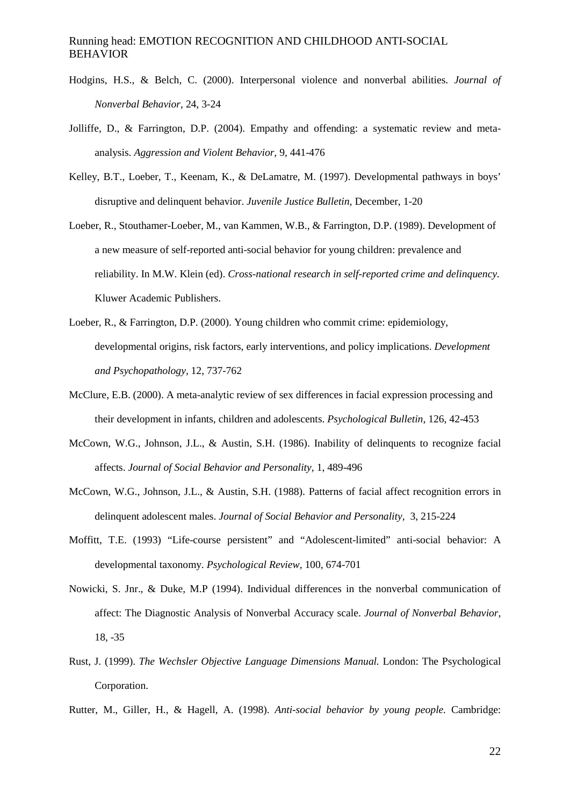- Hodgins, H.S., & Belch, C. (2000). Interpersonal violence and nonverbal abilities. *Journal of Nonverbal Behavior,* 24, 3-24
- Jolliffe, D., & Farrington, D.P. (2004). Empathy and offending: a systematic review and metaanalysis. *Aggression and Violent Behavior,* 9, 441-476
- Kelley, B.T., Loeber, T., Keenam, K., & DeLamatre, M. (1997). Developmental pathways in boys' disruptive and delinquent behavior. *Juvenile Justice Bulletin,* December, 1-20
- Loeber, R., Stouthamer-Loeber, M., van Kammen, W.B., & Farrington, D.P. (1989). Development of a new measure of self-reported anti-social behavior for young children: prevalence and reliability. In M.W. Klein (ed). *Cross-national research in self-reported crime and delinquency.* Kluwer Academic Publishers.
- Loeber, R., & Farrington, D.P. (2000). Young children who commit crime: epidemiology, developmental origins, risk factors, early interventions, and policy implications. *Development and Psychopathology,* 12, 737-762
- McClure, E.B. (2000). A meta-analytic review of sex differences in facial expression processing and their development in infants, children and adolescents. *Psychological Bulletin,* 126, 42-453
- McCown, W.G., Johnson, J.L., & Austin, S.H. (1986). Inability of delinquents to recognize facial affects. *Journal of Social Behavior and Personality,* 1, 489-496
- McCown, W.G., Johnson, J.L., & Austin, S.H. (1988). Patterns of facial affect recognition errors in delinquent adolescent males. *Journal of Social Behavior and Personality,* 3, 215-224
- Moffitt, T.E. (1993) "Life-course persistent" and "Adolescent-limited" anti-social behavior: A developmental taxonomy. *Psychological Review,* 100, 674-701
- Nowicki, S. Jnr., & Duke, M.P (1994). Individual differences in the nonverbal communication of affect: The Diagnostic Analysis of Nonverbal Accuracy scale. *Journal of Nonverbal Behavior,*  18, -35
- Rust, J. (1999). *The Wechsler Objective Language Dimensions Manual.* London: The Psychological Corporation.
- Rutter, M., Giller, H., & Hagell, A. (1998). *Anti-social behavior by young people.* Cambridge: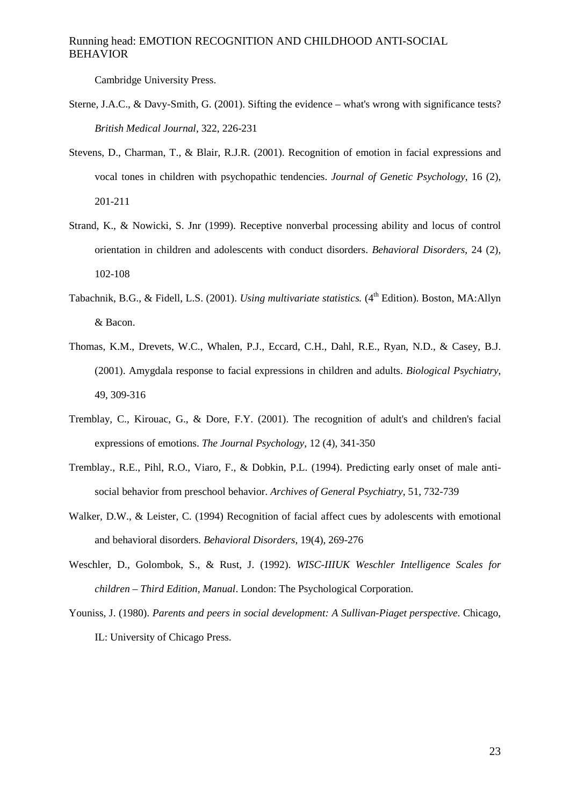Cambridge University Press.

- Sterne, J.A.C., & Davy-Smith, G. (2001). Sifting the evidence what's wrong with significance tests? *British Medical Journal*, 322, 226-231
- Stevens, D., Charman, T., & Blair, R.J.R. (2001). Recognition of emotion in facial expressions and vocal tones in children with psychopathic tendencies. *Journal of Genetic Psychology*, 16 (2), 201-211
- Strand, K., & Nowicki, S. Jnr (1999). Receptive nonverbal processing ability and locus of control orientation in children and adolescents with conduct disorders. *Behavioral Disorders*, 24 (2), 102-108
- Tabachnik, B.G., & Fidell, L.S. (2001). *Using multivariate statistics.* (4<sup>th</sup> Edition). Boston, MA:Allyn & Bacon.
- Thomas, K.M., Drevets, W.C., Whalen, P.J., Eccard, C.H., Dahl, R.E., Ryan, N.D., & Casey, B.J. (2001). Amygdala response to facial expressions in children and adults. *Biological Psychiatry*, 49, 309-316
- Tremblay, C., Kirouac, G., & Dore, F.Y. (2001). The recognition of adult's and children's facial expressions of emotions. *The Journal Psychology*, 12 (4), 341-350
- Tremblay., R.E., Pihl, R.O., Viaro, F., & Dobkin, P.L. (1994). Predicting early onset of male antisocial behavior from preschool behavior. *Archives of General Psychiatry,* 51, 732-739
- Walker, D.W., & Leister, C. (1994) Recognition of facial affect cues by adolescents with emotional and behavioral disorders. *Behavioral Disorders*, 19(4), 269-276
- Weschler, D., Golombok, S., & Rust, J. (1992). *WISC-IIIUK Weschler Intelligence Scales for children – Third Edition, Manual*. London: The Psychological Corporation.
- Youniss, J. (1980). *Parents and peers in social development: A Sullivan-Piaget perspective*. Chicago, IL: University of Chicago Press.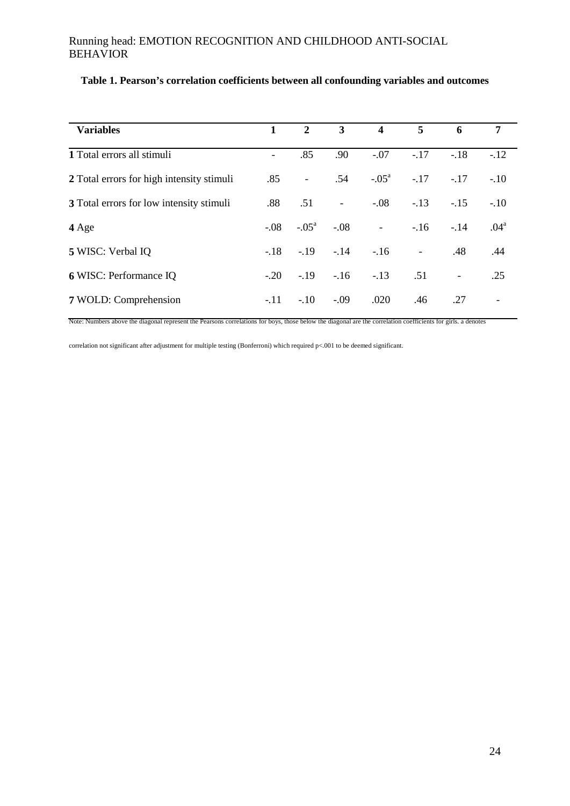| <b>Variables</b>                          |        | $\mathbf{2}$             | $\mathbf{3}$ | $\overline{\mathbf{4}}$  | 5                        | 6                        | 7                        |
|-------------------------------------------|--------|--------------------------|--------------|--------------------------|--------------------------|--------------------------|--------------------------|
| 1 Total errors all stimuli                |        | .85                      | .90          | $-.07$                   | $-.17$                   | $-.18$                   | $-12$                    |
| 2 Total errors for high intensity stimuli | .85    | $\overline{\phantom{a}}$ | .54          | $-.05^{\circ}$           | $-.17$                   | $-.17$                   | $-.10$                   |
| 3 Total errors for low intensity stimuli  | .88    | .51                      | $\Box$       | $-.08$                   | $-.13$                   | $-.15$                   | $-.10$                   |
| 4 Age                                     | $-.08$ | $-.05^{\circ}$           | $-.08$       | $\overline{\phantom{a}}$ | $-16$                    | $-.14$                   | .04 <sup>a</sup>         |
| 5 WISC: Verbal IQ                         | $-.18$ | $-19$                    |              | $-.14-.16$               | $\overline{\phantom{a}}$ | .48                      | .44                      |
| <b>6 WISC: Performance IQ</b>             | $-.20$ | $-19$                    | $-.16$       | $-.13$                   | .51                      | $\overline{\phantom{a}}$ | .25                      |
| 7 WOLD: Comprehension                     | $-.11$ | $-10$                    | $-.09$       | .020                     | .46                      | .27                      | $\overline{\phantom{a}}$ |

## **Table 1. Pearson's correlation coefficients between all confounding variables and outcomes**

Note: Numbers above the diagonal represent the Pearsons correlations for boys, those below the diagonal are the correlation coefficients for girls. a denotes

correlation not significant after adjustment for multiple testing (Bonferroni) which required p<.001 to be deemed significant.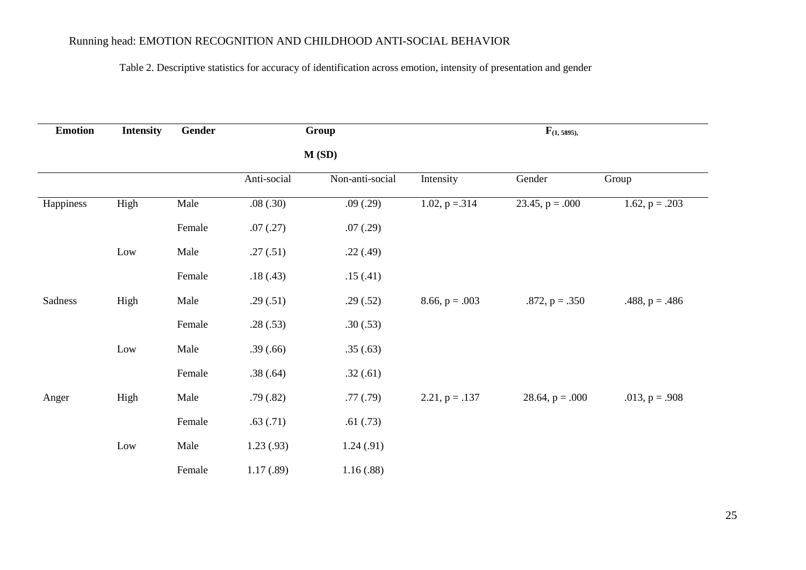## Table 2. Descriptive statistics for accuracy of identification across emotion, intensity of presentation and gender

| <b>Emotion</b> | <b>Intensity</b> | <b>Gender</b><br>Group |             |                 | $F_{(1, 5895)}$  |                   |                  |  |
|----------------|------------------|------------------------|-------------|-----------------|------------------|-------------------|------------------|--|
|                |                  |                        |             | M(SD)           |                  |                   |                  |  |
|                |                  |                        | Anti-social | Non-anti-social | Intensity        | Gender            | Group            |  |
| Happiness      | High             | Male                   | .08(.30)    | .09(.29)        | 1.02, $p = 314$  | 23.45, $p = .000$ | 1.62, $p = .203$ |  |
|                |                  | Female                 | .07(.27)    | .07(.29)        |                  |                   |                  |  |
|                | Low              | Male                   | .27(.51)    | .22(.49)        |                  |                   |                  |  |
|                |                  | Female                 | .18(.43)    | .15(.41)        |                  |                   |                  |  |
| Sadness        | High             | Male                   | .29(.51)    | .29(.52)        | $8.66, p = .003$ | $.872, p = .350$  | $.488, p = .486$ |  |
|                |                  | Female                 | .28(.53)    | .30(.53)        |                  |                   |                  |  |
|                | Low              | Male                   | .39(.66)    | .35(.63)        |                  |                   |                  |  |
|                |                  | Female                 | .38(.64)    | .32(.61)        |                  |                   |                  |  |
| Anger          | High             | Male                   | .79(.82)    | .77(.79)        | $2.21, p = .137$ | 28.64, $p = .000$ | .013, $p = .908$ |  |
|                |                  | Female                 | .63(.71)    | .61(.73)        |                  |                   |                  |  |
|                | Low              | Male                   | 1.23(0.93)  | 1.24(.91)       |                  |                   |                  |  |
|                |                  | Female                 | 1.17(0.89)  | 1.16(0.88)      |                  |                   |                  |  |